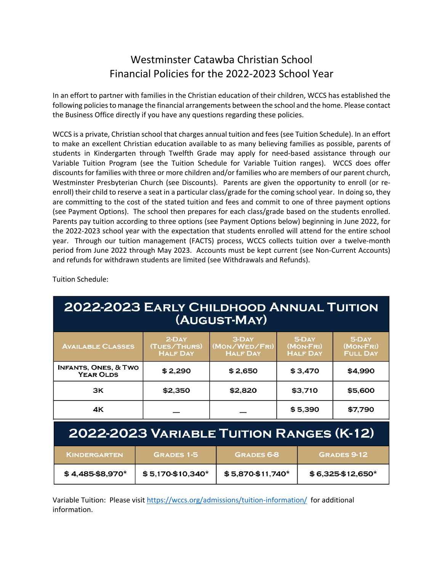## Westminster Catawba Christian School Financial Policies for the 2022-2023 School Year

In an effort to partner with families in the Christian education of their children, WCCS has established the following policies to manage the financial arrangements between the school and the home. Please contact the Business Office directly if you have any questions regarding these policies.

WCCS is a private, Christian school that charges annual tuition and fees (see Tuition Schedule). In an effort to make an excellent Christian education available to as many believing families as possible, parents of students in Kindergarten through Twelfth Grade may apply for need-based assistance through our Variable Tuition Program (see the Tuition Schedule for Variable Tuition ranges). WCCS does offer discounts for families with three or more children and/or families who are members of our parent church, Westminster Presbyterian Church (see Discounts). Parents are given the opportunity to enroll (or reenroll) their child to reserve a seat in a particular class/grade for the coming school year. In doing so, they are committing to the cost of the stated tuition and fees and commit to one of three payment options (see Payment Options). The school then prepares for each class/grade based on the students enrolled. Parents pay tuition according to three options (see Payment Options below) beginning in June 2022, for the 2022-2023 school year with the expectation that students enrolled will attend for the entire school year. Through our tuition management (FACTS) process, WCCS collects tuition over a twelve-month period from June 2022 through May 2023. Accounts must be kept current (see Non-Current Accounts) and refunds for withdrawn students are limited (see Withdrawals and Refunds).

**2022-2023 EARLY CHILDHOOD ANNUAL TUITION** (AUGUST-MAY) 5-Day<br>(MON-FRI)<br>HALF DAY 2-Day<br>(TUES/THURS)<br>HALF DAY 5-Day<br>(MON-FRI)<br>FULL DAY 3-Day<br>(MON/WED/FRI)<br>HALF DAY **AVAILABLE CLASSES INFANTS, ONES, & TWO**  $$2,290$  $$2,650$  $$3,470$ \$4,990 **YEAR OLDS** 3K \$2,350 \$3.710 \$2,820 \$5,600 4Κ  $$5,390$ \$7,790

Tuition Schedule:

# 2022-2023 VARIABLE TUITION RANGES (K-12)

| <b>KINDERGARTEN</b> | <b>GRADES 1-5</b>   | <b>GRADES 6-8</b> | <b>GRADES 9-12 \</b> |
|---------------------|---------------------|-------------------|----------------------|
| $$4,485-$8,970*$    | $$5,170.$ \$10,340* | $$5,870-$11,740*$ | $$6,325$412,650*$    |

Variable Tuition: Please visit https://wccs.org/admissions/tuition-information/ for additional information.